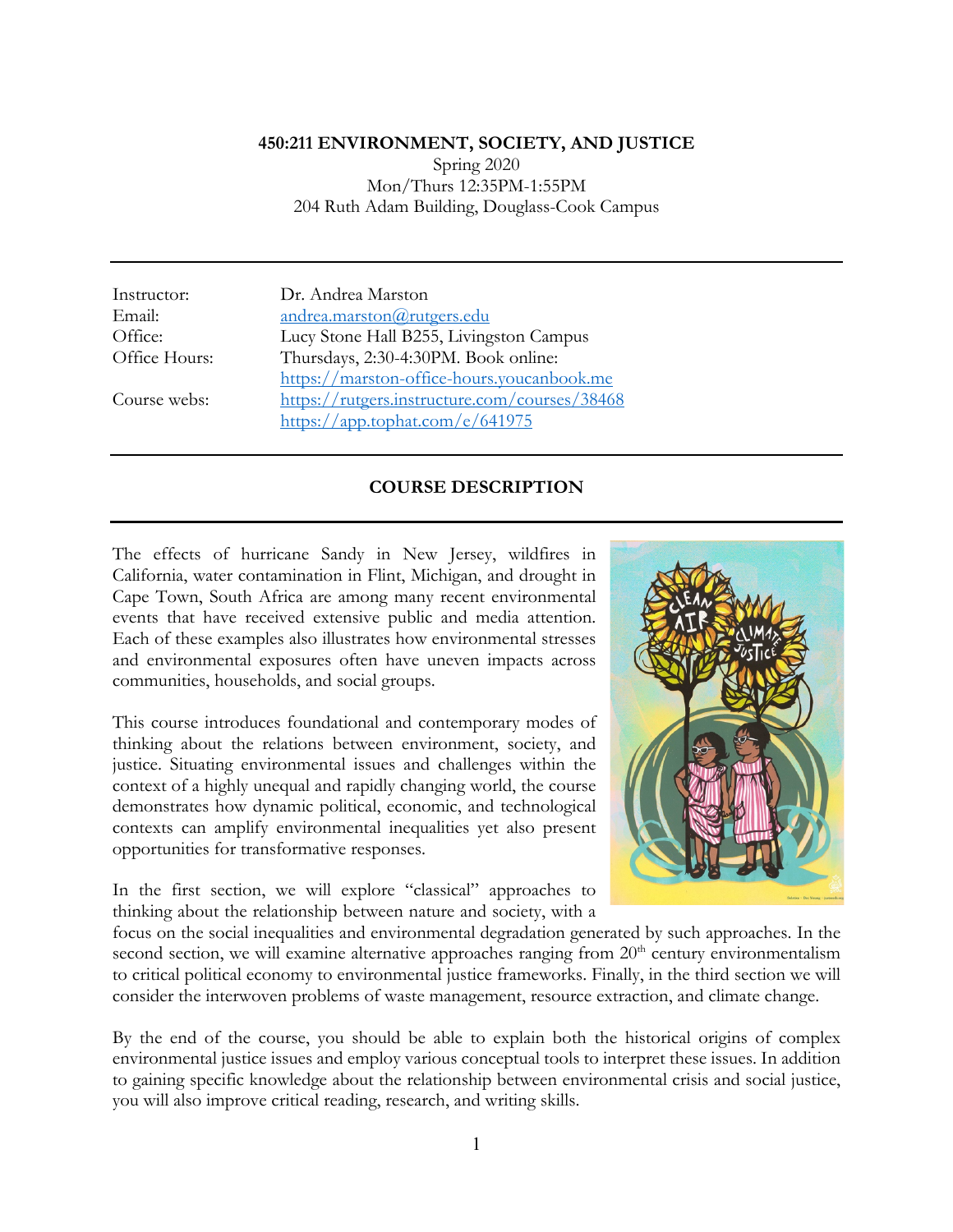#### **450:211 ENVIRONMENT, SOCIETY, AND JUSTICE**

Spring 2020 Mon/Thurs 12:35PM-1:55PM 204 Ruth Adam Building, Douglass-Cook Campus

Instructor: Dr. Andrea Marston Email: andrea.marston@rutgers.edu<br>Office: Lucy Stone Hall B255. Living Lucy Stone Hall B255, Livingston Campus Office Hours: Thursdays, 2:30-4:30PM. Book online: https://marston-office-hours.youcanbook.me Course webs: https://rutgers.instructure.com/courses/38468 https://app.tophat.com/e/641975

## **COURSE DESCRIPTION**

The effects of hurricane Sandy in New Jersey, wildfires in California, water contamination in Flint, Michigan, and drought in Cape Town, South Africa are among many recent environmental events that have received extensive public and media attention. Each of these examples also illustrates how environmental stresses and environmental exposures often have uneven impacts across communities, households, and social groups.

This course introduces foundational and contemporary modes of thinking about the relations between environment, society, and justice. Situating environmental issues and challenges within the context of a highly unequal and rapidly changing world, the course demonstrates how dynamic political, economic, and technological contexts can amplify environmental inequalities yet also present opportunities for transformative responses.

In the first section, we will explore "classical" approaches to thinking about the relationship between nature and society, with a



focus on the social inequalities and environmental degradation generated by such approaches. In the second section, we will examine alternative approaches ranging from 20<sup>th</sup> century environmentalism to critical political economy to environmental justice frameworks. Finally, in the third section we will consider the interwoven problems of waste management, resource extraction, and climate change.

By the end of the course, you should be able to explain both the historical origins of complex environmental justice issues and employ various conceptual tools to interpret these issues. In addition to gaining specific knowledge about the relationship between environmental crisis and social justice, you will also improve critical reading, research, and writing skills.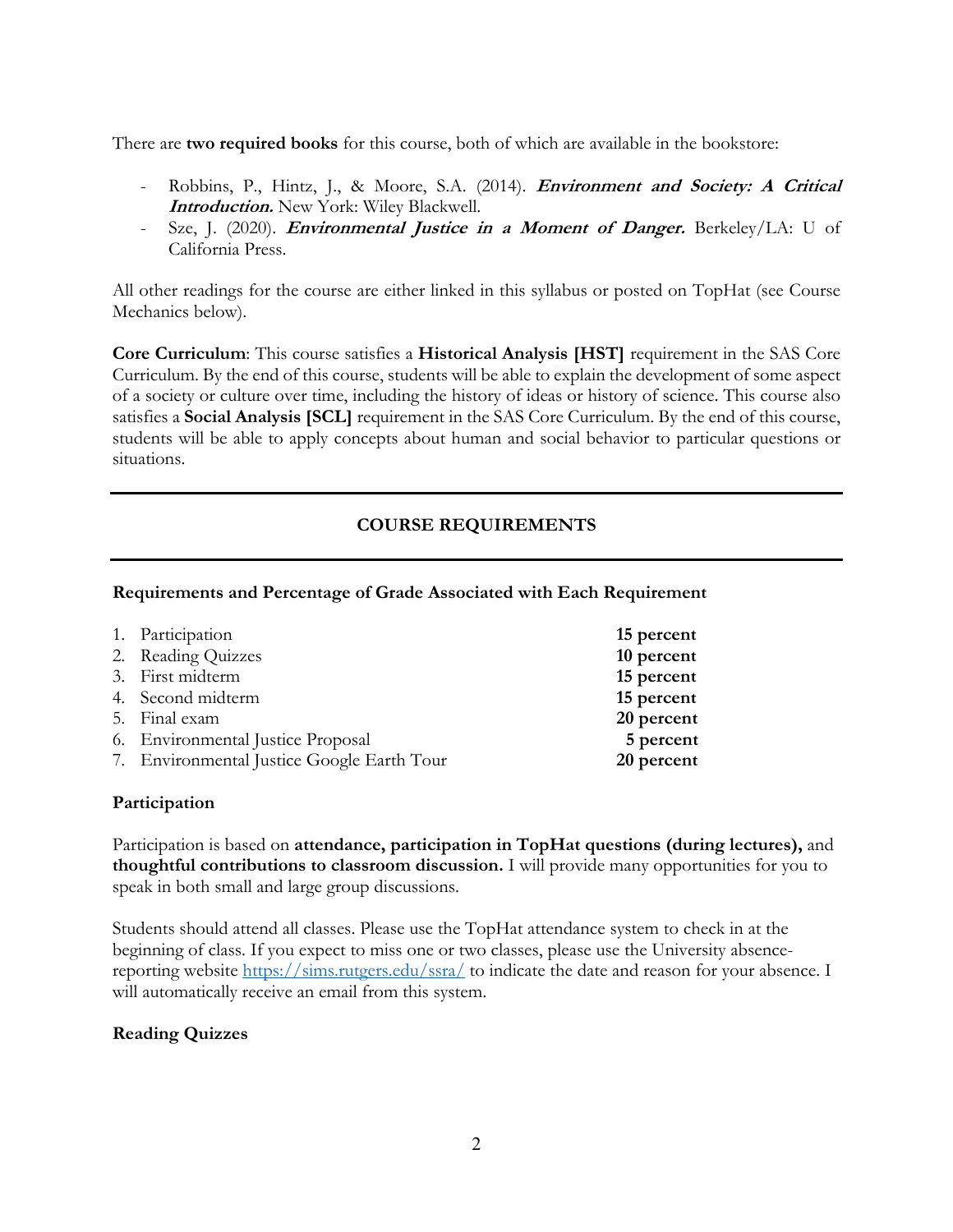There are **two required books** for this course, both of which are available in the bookstore:

- Robbins, P., Hintz, J., & Moore, S.A. (2014). **Environment and Society: A Critical Introduction.** New York: Wiley Blackwell.
- Sze, J. (2020). **Environmental Justice in a Moment of Danger.** Berkeley/LA: U of California Press.

All other readings for the course are either linked in this syllabus or posted on TopHat (see Course Mechanics below).

**Core Curriculum**: This course satisfies a **Historical Analysis [HST]** requirement in the SAS Core Curriculum. By the end of this course, students will be able to explain the development of some aspect of a society or culture over time, including the history of ideas or history of science. This course also satisfies a **Social Analysis [SCL]** requirement in the SAS Core Curriculum. By the end of this course, students will be able to apply concepts about human and social behavior to particular questions or situations.

## **COURSE REQUIREMENTS**

#### **Requirements and Percentage of Grade Associated with Each Requirement**

| 1. Participation                           | 15 percent |
|--------------------------------------------|------------|
| 2. Reading Quizzes                         | 10 percent |
| 3. First midterm                           | 15 percent |
| 4. Second midterm                          | 15 percent |
| 5. Final exam                              | 20 percent |
| 6. Environmental Justice Proposal          | 5 percent  |
| 7. Environmental Justice Google Earth Tour | 20 percent |

#### **Participation**

Participation is based on **attendance, participation in TopHat questions (during lectures),** and **thoughtful contributions to classroom discussion.** I will provide many opportunities for you to speak in both small and large group discussions.

Students should attend all classes. Please use the TopHat attendance system to check in at the beginning of class. If you expect to miss one or two classes, please use the University absencereporting website https://sims.rutgers.edu/ssra/ to indicate the date and reason for your absence. I will automatically receive an email from this system.

## **Reading Quizzes**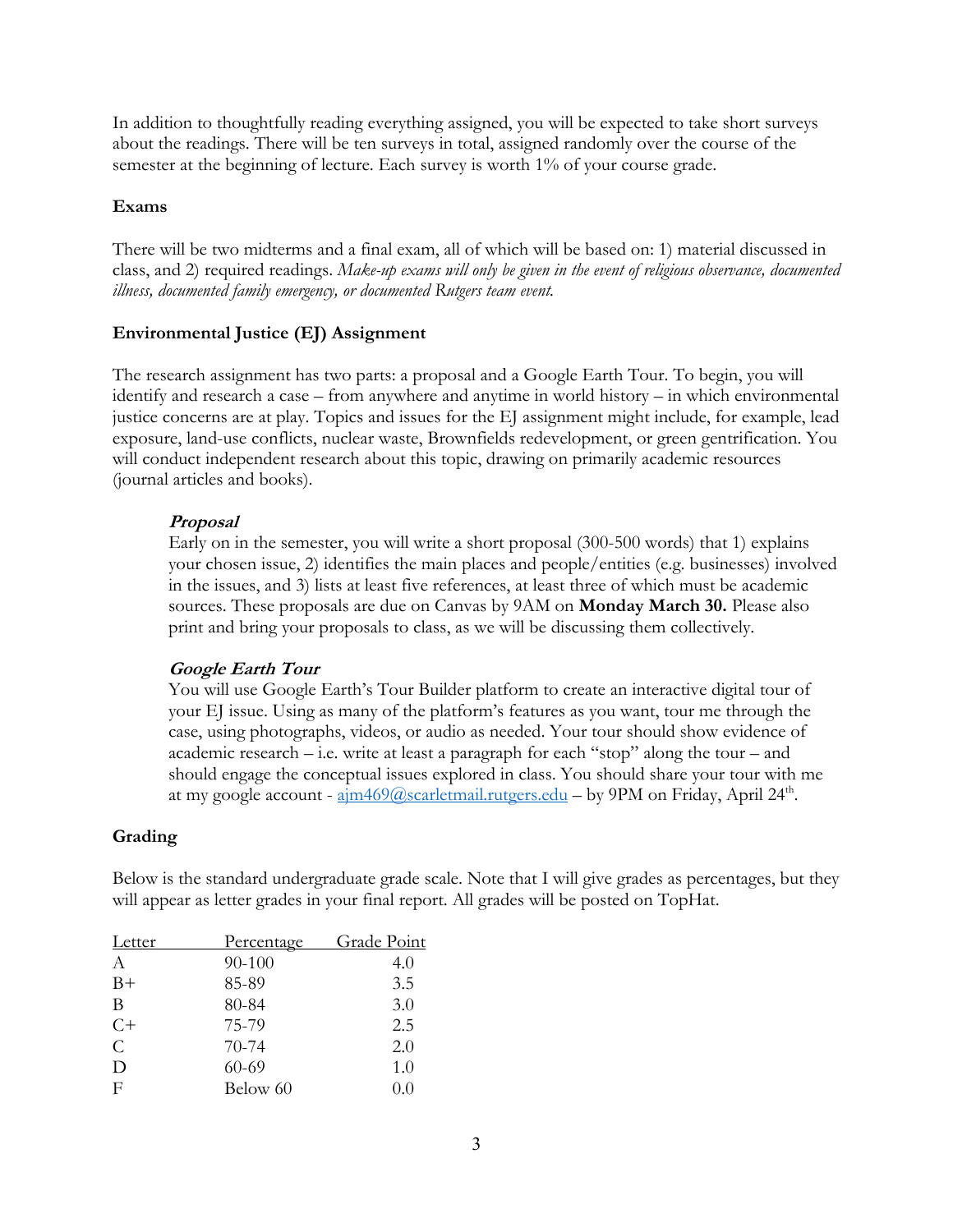In addition to thoughtfully reading everything assigned, you will be expected to take short surveys about the readings. There will be ten surveys in total, assigned randomly over the course of the semester at the beginning of lecture. Each survey is worth 1% of your course grade.

### **Exams**

There will be two midterms and a final exam, all of which will be based on: 1) material discussed in class, and 2) required readings. *Make-up exams will only be given in the event of religious observance, documented illness, documented family emergency, or documented Rutgers team event.*

## **Environmental Justice (EJ) Assignment**

The research assignment has two parts: a proposal and a Google Earth Tour. To begin, you will identify and research a case – from anywhere and anytime in world history – in which environmental justice concerns are at play. Topics and issues for the EJ assignment might include, for example, lead exposure, land-use conflicts, nuclear waste, Brownfields redevelopment, or green gentrification. You will conduct independent research about this topic, drawing on primarily academic resources (journal articles and books).

## **Proposal**

Early on in the semester, you will write a short proposal (300-500 words) that 1) explains your chosen issue, 2) identifies the main places and people/entities (e.g. businesses) involved in the issues, and 3) lists at least five references, at least three of which must be academic sources. These proposals are due on Canvas by 9AM on **Monday March 30.** Please also print and bring your proposals to class, as we will be discussing them collectively.

## **Google Earth Tour**

You will use Google Earth's Tour Builder platform to create an interactive digital tour of your EJ issue. Using as many of the platform's features as you want, tour me through the case, using photographs, videos, or audio as needed. Your tour should show evidence of academic research – i.e. write at least a paragraph for each "stop" along the tour – and should engage the conceptual issues explored in class. You should share your tour with me at my google account -  $\frac{\text{aim469}}{a\text{scarletmail.rutgers.edu}}$  - by 9PM on Friday, April 24<sup>th</sup>.

## **Grading**

Below is the standard undergraduate grade scale. Note that I will give grades as percentages, but they will appear as letter grades in your final report. All grades will be posted on TopHat.

| Letter        | Percentage | Grade Point |
|---------------|------------|-------------|
| A             | 90-100     | 4.0         |
| $B+$          | 85-89      | 3.5         |
| B             | 80-84      | 3.0         |
| $C+$          | 75-79      | 2.5         |
| $\mathcal{C}$ | $70-74$    | 2.0         |
| D             | $60 - 69$  | 1.0         |
| $_{\rm F}$    | Below 60   | 0.0         |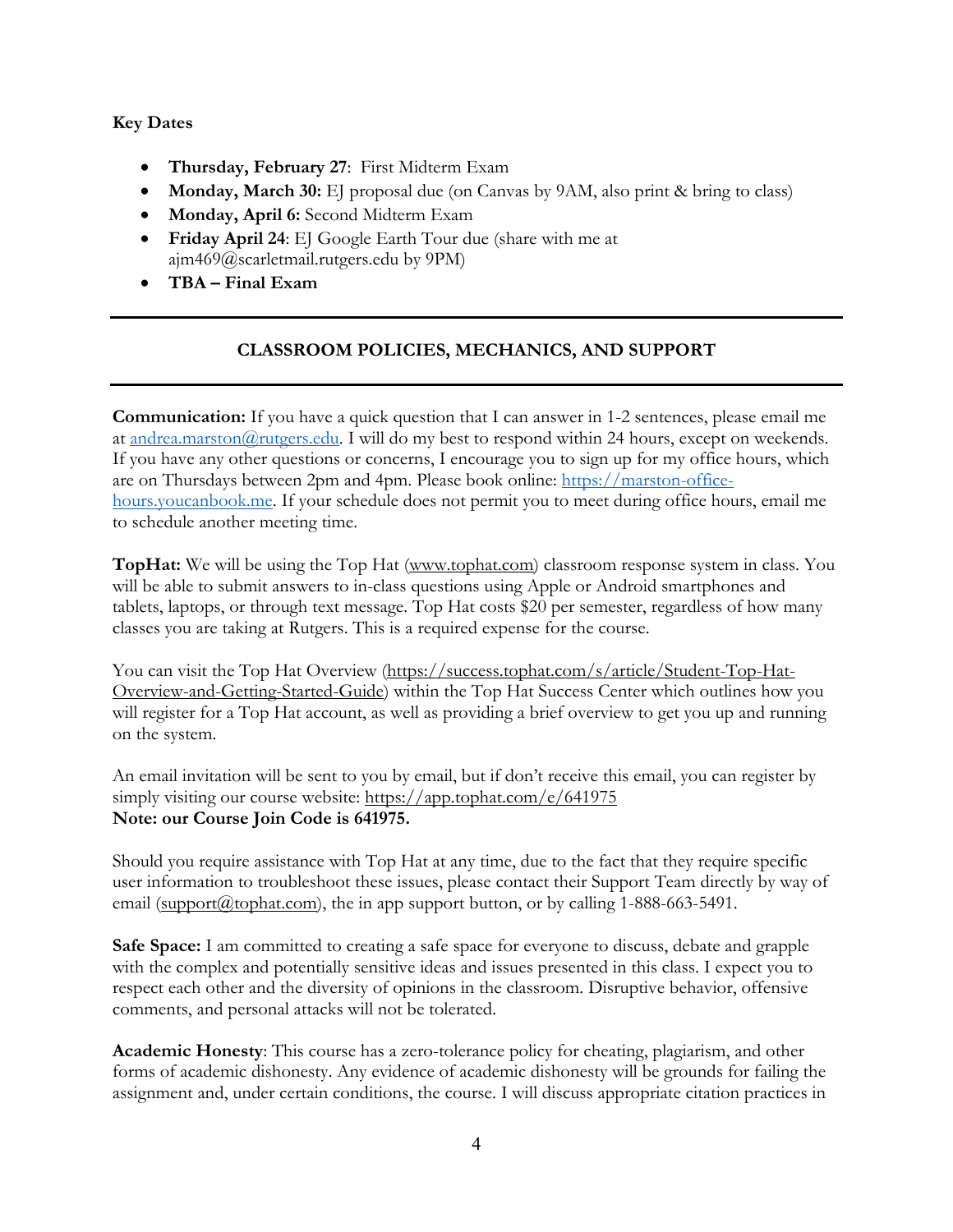## **Key Dates**

- **Thursday, February 27**: First Midterm Exam
- **Monday, March 30:** EJ proposal due (on Canvas by 9AM, also print & bring to class)
- **Monday, April 6:** Second Midterm Exam
- **Friday April 24**: EJ Google Earth Tour due (share with me at ajm469@scarletmail.rutgers.edu by 9PM)
- **TBA – Final Exam**

# **CLASSROOM POLICIES, MECHANICS, AND SUPPORT**

**Communication:** If you have a quick question that I can answer in 1-2 sentences, please email me at andrea.marston@rutgers.edu. I will do my best to respond within 24 hours, except on weekends. If you have any other questions or concerns, I encourage you to sign up for my office hours, which are on Thursdays between 2pm and 4pm. Please book online: https://marston-officehours.youcanbook.me. If your schedule does not permit you to meet during office hours, email me to schedule another meeting time.

**TopHat:** We will be using the Top Hat (www.tophat.com) classroom response system in class. You will be able to submit answers to in-class questions using Apple or Android smartphones and tablets, laptops, or through text message. Top Hat costs \$20 per semester, regardless of how many classes you are taking at Rutgers. This is a required expense for the course.

You can visit the Top Hat Overview (https://success.tophat.com/s/article/Student-Top-Hat-Overview-and-Getting-Started-Guide) within the Top Hat Success Center which outlines how you will register for a Top Hat account, as well as providing a brief overview to get you up and running on the system.

An email invitation will be sent to you by email, but if don't receive this email, you can register by simply visiting our course website: https://app.tophat.com/e/641975 **Note: our Course Join Code is 641975.**

Should you require assistance with Top Hat at any time, due to the fact that they require specific user information to troubleshoot these issues, please contact their Support Team directly by way of email  $\frac{\text{(support@tophat.com)}}{\text{(support@tophat.com)}}$ , the in app support button, or by calling 1-888-663-5491.

**Safe Space:** I am committed to creating a safe space for everyone to discuss, debate and grapple with the complex and potentially sensitive ideas and issues presented in this class. I expect you to respect each other and the diversity of opinions in the classroom. Disruptive behavior, offensive comments, and personal attacks will not be tolerated.

**Academic Honesty**: This course has a zero-tolerance policy for cheating, plagiarism, and other forms of academic dishonesty. Any evidence of academic dishonesty will be grounds for failing the assignment and, under certain conditions, the course. I will discuss appropriate citation practices in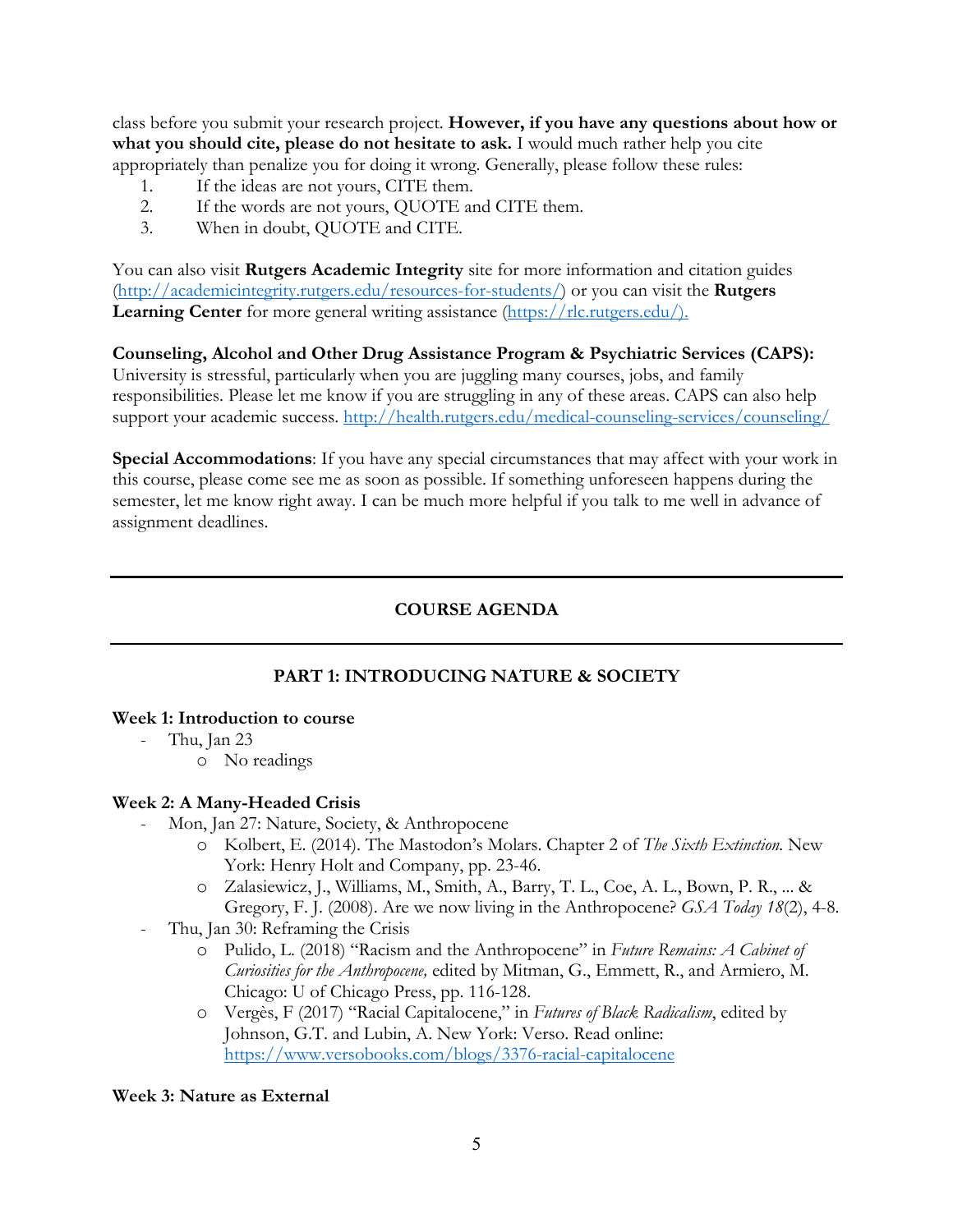class before you submit your research project. **However, if you have any questions about how or what you should cite, please do not hesitate to ask.** I would much rather help you cite appropriately than penalize you for doing it wrong. Generally, please follow these rules:

- 1. If the ideas are not yours, CITE them.
- 2. If the words are not yours, QUOTE and CITE them.
- 3. When in doubt, QUOTE and CITE.

You can also visit **Rutgers Academic Integrity** site for more information and citation guides (http://academicintegrity.rutgers.edu/resources-for-students/) or you can visit the **Rutgers**  Learning Center for more general writing assistance (https://rlc.rutgers.edu/).

**Counseling, Alcohol and Other Drug Assistance Program & Psychiatric Services (CAPS):** University is stressful, particularly when you are juggling many courses, jobs, and family responsibilities. Please let me know if you are struggling in any of these areas. CAPS can also help support your academic success. http://health.rutgers.edu/medical-counseling-services/counseling/

**Special Accommodations**: If you have any special circumstances that may affect with your work in this course, please come see me as soon as possible. If something unforeseen happens during the semester, let me know right away. I can be much more helpful if you talk to me well in advance of assignment deadlines.

# **COURSE AGENDA**

# **PART 1: INTRODUCING NATURE & SOCIETY**

## **Week 1: Introduction to course**

- Thu, Jan 23
	- o No readings

## **Week 2: A Many-Headed Crisis**

- Mon, Jan 27: Nature, Society, & Anthropocene
	- o Kolbert, E. (2014). The Mastodon's Molars. Chapter 2 of *The Sixth Extinction.* New York: Henry Holt and Company, pp. 23-46.
	- o Zalasiewicz, J., Williams, M., Smith, A., Barry, T. L., Coe, A. L., Bown, P. R., ... & Gregory, F. J. (2008). Are we now living in the Anthropocene? *GSA Today 18*(2), 4-8.
- Thu, Jan 30: Reframing the Crisis
	- o Pulido, L. (2018) "Racism and the Anthropocene" in *Future Remains: A Cabinet of Curiosities for the Anthropocene,* edited by Mitman, G., Emmett, R., and Armiero, M. Chicago: U of Chicago Press, pp. 116-128.
	- o Vergès, F (2017) "Racial Capitalocene," in *Futures of Black Radicalism*, edited by Johnson, G.T. and Lubin, A. New York: Verso. Read online: https://www.versobooks.com/blogs/3376-racial-capitalocene

#### **Week 3: Nature as External**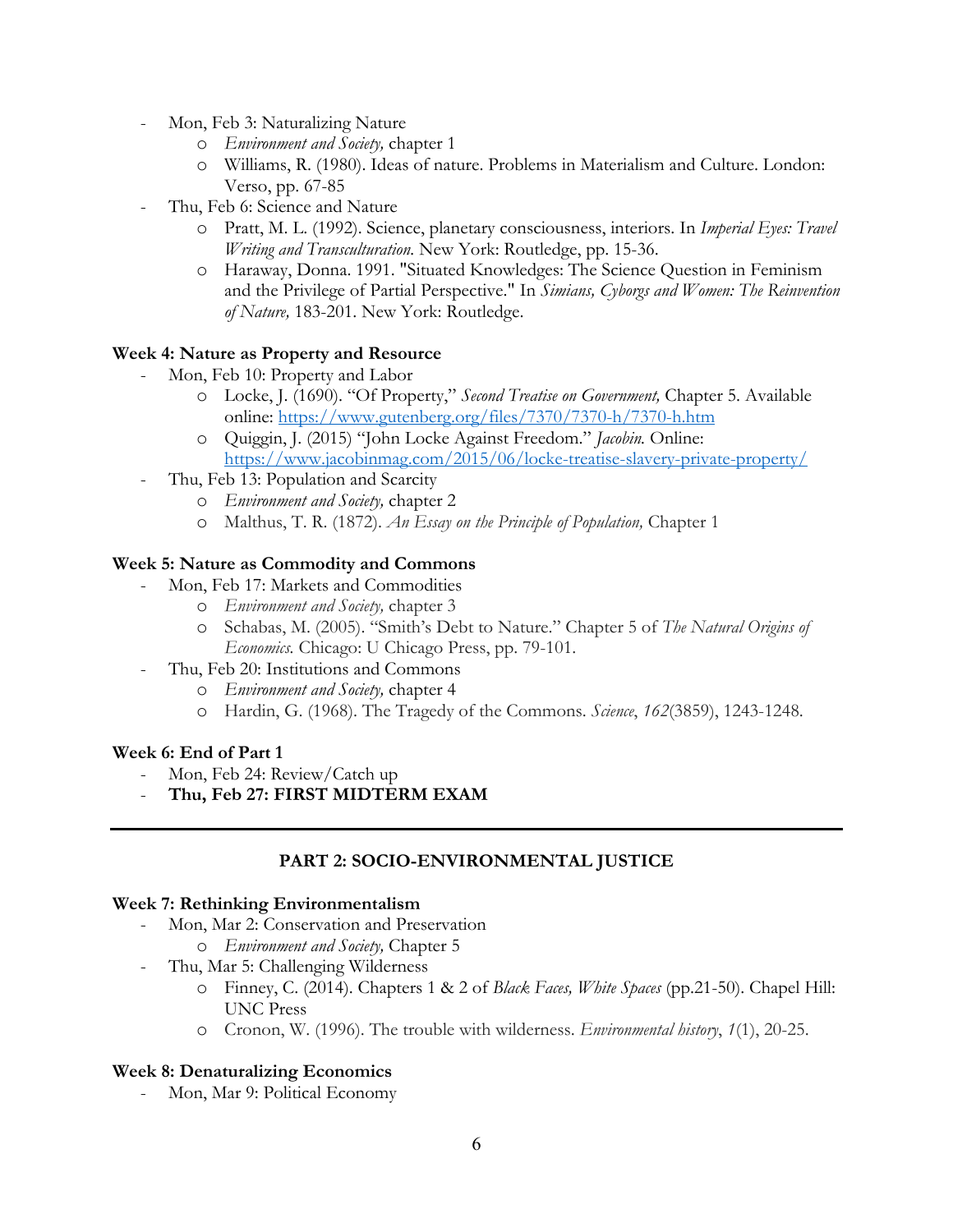- Mon, Feb 3: Naturalizing Nature
	- o *Environment and Society,* chapter 1
	- o Williams, R. (1980). Ideas of nature. Problems in Materialism and Culture. London: Verso, pp. 67-85
- Thu, Feb 6: Science and Nature
	- o Pratt, M. L. (1992). Science, planetary consciousness, interiors. In *Imperial Eyes: Travel Writing and Transculturation.* New York: Routledge, pp. 15-36.
	- o Haraway, Donna. 1991. "Situated Knowledges: The Science Question in Feminism and the Privilege of Partial Perspective." In *Simians, Cyborgs and Women: The Reinvention of Nature,* 183-201. New York: Routledge.

#### **Week 4: Nature as Property and Resource**

- Mon, Feb 10: Property and Labor
	- o Locke, J. (1690). "Of Property," *Second Treatise on Government,* Chapter 5. Available online: https://www.gutenberg.org/files/7370/7370-h/7370-h.htm
	- o Quiggin, J. (2015) "John Locke Against Freedom." *Jacobin.* Online: https://www.jacobinmag.com/2015/06/locke-treatise-slavery-private-property/
- Thu, Feb 13: Population and Scarcity
	- o *Environment and Society,* chapter 2
	- o Malthus, T. R. (1872). *An Essay on the Principle of Population,* Chapter 1

#### **Week 5: Nature as Commodity and Commons**

- Mon, Feb 17: Markets and Commodities
	- o *Environment and Society,* chapter 3
	- o Schabas, M. (2005). "Smith's Debt to Nature." Chapter 5 of *The Natural Origins of Economics.* Chicago: U Chicago Press, pp. 79-101.
- Thu, Feb 20: Institutions and Commons
	- o *Environment and Society,* chapter 4
	- o Hardin, G. (1968). The Tragedy of the Commons. *Science*, *162*(3859), 1243-1248.

#### **Week 6: End of Part 1**

- Mon, Feb 24: Review/Catch up
- **Thu, Feb 27: FIRST MIDTERM EXAM**

## **PART 2: SOCIO-ENVIRONMENTAL JUSTICE**

#### **Week 7: Rethinking Environmentalism**

- Mon, Mar 2: Conservation and Preservation
	- o *Environment and Society,* Chapter 5
	- Thu, Mar 5: Challenging Wilderness
		- o Finney, C. (2014). Chapters 1 & 2 of *Black Faces, White Spaces* (pp.21-50). Chapel Hill: UNC Press
		- o Cronon, W. (1996). The trouble with wilderness. *Environmental history*, *1*(1), 20-25.

#### **Week 8: Denaturalizing Economics**

- Mon, Mar 9: Political Economy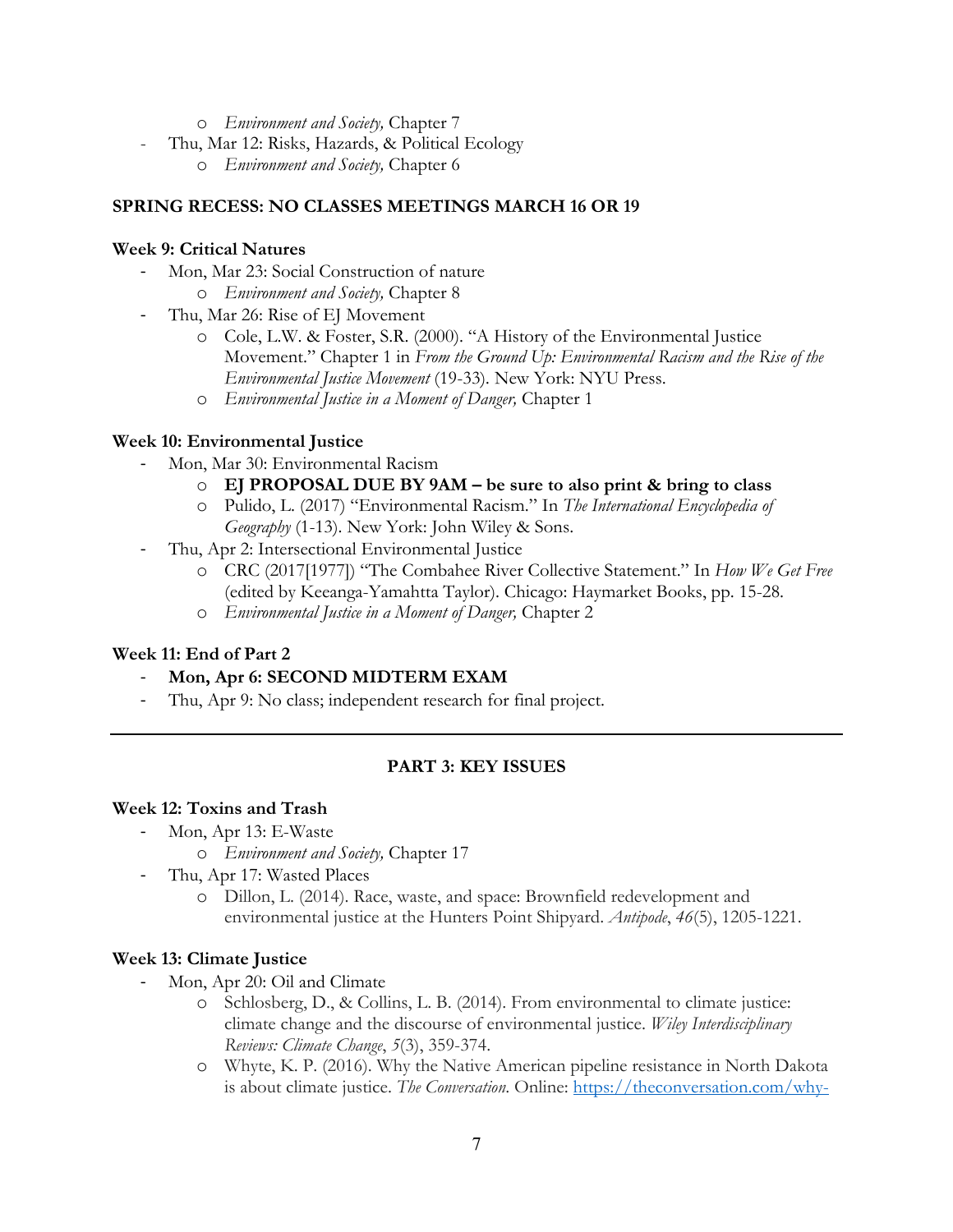- o *Environment and Society,* Chapter 7
- Thu, Mar 12: Risks, Hazards, & Political Ecology
	- o *Environment and Society,* Chapter 6

## **SPRING RECESS: NO CLASSES MEETINGS MARCH 16 OR 19**

## **Week 9: Critical Natures**

- Mon, Mar 23: Social Construction of nature
	- o *Environment and Society,* Chapter 8
- Thu, Mar 26: Rise of EJ Movement
	- o Cole, L.W. & Foster, S.R. (2000). "A History of the Environmental Justice Movement." Chapter 1 in *From the Ground Up: Environmental Racism and the Rise of the Environmental Justice Movement* (19-33)*.* New York: NYU Press.
	- o *Environmental Justice in a Moment of Danger,* Chapter 1

## **Week 10: Environmental Justice**

- Mon, Mar 30: Environmental Racism
	- o **EJ PROPOSAL DUE BY 9AM – be sure to also print & bring to class**
	- o Pulido, L. (2017) "Environmental Racism." In *The International Encyclopedia of Geography* (1-13). New York: John Wiley & Sons.
- Thu, Apr 2: Intersectional Environmental Justice
	- o CRC (2017[1977]) "The Combahee River Collective Statement." In *How We Get Free*  (edited by Keeanga-Yamahtta Taylor). Chicago: Haymarket Books, pp. 15-28.
	- o *Environmental Justice in a Moment of Danger,* Chapter 2

# **Week 11: End of Part 2**

- **Mon, Apr 6: SECOND MIDTERM EXAM**
- Thu, Apr 9: No class; independent research for final project.

# **PART 3: KEY ISSUES**

## **Week 12: Toxins and Trash**

- Mon, Apr 13: E-Waste
	- o *Environment and Society,* Chapter 17
- Thu, Apr 17: Wasted Places
	- o Dillon, L. (2014). Race, waste, and space: Brownfield redevelopment and environmental justice at the Hunters Point Shipyard. *Antipode*, *46*(5), 1205-1221.

# **Week 13: Climate Justice**

- Mon, Apr 20: Oil and Climate
	- o Schlosberg, D., & Collins, L. B. (2014). From environmental to climate justice: climate change and the discourse of environmental justice. *Wiley Interdisciplinary Reviews: Climate Change*, *5*(3), 359-374.
	- o Whyte, K. P. (2016). Why the Native American pipeline resistance in North Dakota is about climate justice. *The Conversation*. Online: https://theconversation.com/why-